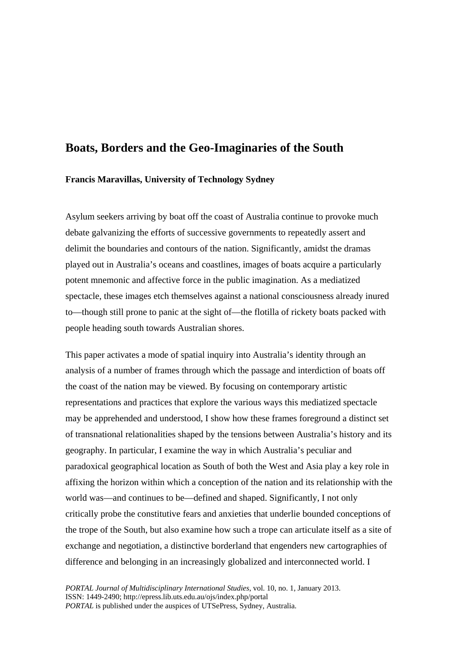# **Boats, Borders and the Geo-Imaginaries of the South**

## **Francis Maravillas, University of Technology Sydney**

Asylum seekers arriving by boat off the coast of Australia continue to provoke much debate galvanizing the efforts of successive governments to repeatedly assert and delimit the boundaries and contours of the nation. Significantly, amidst the dramas played out in Australia's oceans and coastlines, images of boats acquire a particularly potent mnemonic and affective force in the public imagination. As a mediatized spectacle, these images etch themselves against a national consciousness already inured to—though still prone to panic at the sight of—the flotilla of rickety boats packed with people heading south towards Australian shores.

This paper activates a mode of spatial inquiry into Australia's identity through an analysis of a number of frames through which the passage and interdiction of boats off the coast of the nation may be viewed. By focusing on contemporary artistic representations and practices that explore the various ways this mediatized spectacle may be apprehended and understood, I show how these frames foreground a distinct set of transnational relationalities shaped by the tensions between Australia's history and its geography. In particular, I examine the way in which Australia's peculiar and paradoxical geographical location as South of both the West and Asia play a key role in affixing the horizon within which a conception of the nation and its relationship with the world was—and continues to be—defined and shaped. Significantly, I not only critically probe the constitutive fears and anxieties that underlie bounded conceptions of the trope of the South, but also examine how such a trope can articulate itself as a site of exchange and negotiation, a distinctive borderland that engenders new cartographies of difference and belonging in an increasingly globalized and interconnected world. I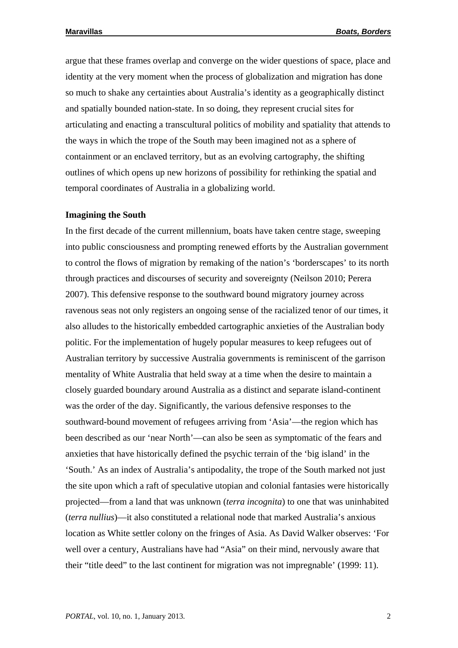argue that these frames overlap and converge on the wider questions of space, place and identity at the very moment when the process of globalization and migration has done so much to shake any certainties about Australia's identity as a geographically distinct and spatially bounded nation-state. In so doing, they represent crucial sites for articulating and enacting a transcultural politics of mobility and spatiality that attends to the ways in which the trope of the South may been imagined not as a sphere of containment or an enclaved territory, but as an evolving cartography, the shifting outlines of which opens up new horizons of possibility for rethinking the spatial and temporal coordinates of Australia in a globalizing world.

### **Imagining the South**

In the first decade of the current millennium, boats have taken centre stage, sweeping into public consciousness and prompting renewed efforts by the Australian government to control the flows of migration by remaking of the nation's 'borderscapes' to its north through practices and discourses of security and sovereignty (Neilson 2010; Perera 2007). This defensive response to the southward bound migratory journey across ravenous seas not only registers an ongoing sense of the racialized tenor of our times, it also alludes to the historically embedded cartographic anxieties of the Australian body politic. For the implementation of hugely popular measures to keep refugees out of Australian territory by successive Australia governments is reminiscent of the garrison mentality of White Australia that held sway at a time when the desire to maintain a closely guarded boundary around Australia as a distinct and separate island-continent was the order of the day. Significantly, the various defensive responses to the southward-bound movement of refugees arriving from 'Asia'—the region which has been described as our 'near North'—can also be seen as symptomatic of the fears and anxieties that have historically defined the psychic terrain of the 'big island' in the 'South.' As an index of Australia's antipodality, the trope of the South marked not just the site upon which a raft of speculative utopian and colonial fantasies were historically projected—from a land that was unknown (*terra incognita*) to one that was uninhabited (*terra nullius*)—it also constituted a relational node that marked Australia's anxious location as White settler colony on the fringes of Asia. As David Walker observes: 'For well over a century, Australians have had "Asia" on their mind, nervously aware that their "title deed" to the last continent for migration was not impregnable' (1999: 11).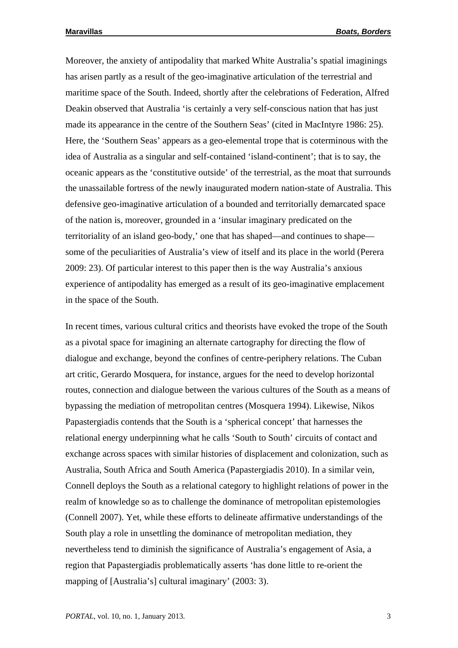Moreover, the anxiety of antipodality that marked White Australia's spatial imaginings has arisen partly as a result of the geo-imaginative articulation of the terrestrial and maritime space of the South. Indeed, shortly after the celebrations of Federation, Alfred Deakin observed that Australia 'is certainly a very self-conscious nation that has just made its appearance in the centre of the Southern Seas' (cited in MacIntyre 1986: 25). Here, the 'Southern Seas' appears as a geo-elemental trope that is coterminous with the idea of Australia as a singular and self-contained 'island-continent'; that is to say, the oceanic appears as the 'constitutive outside' of the terrestrial, as the moat that surrounds the unassailable fortress of the newly inaugurated modern nation-state of Australia. This defensive geo-imaginative articulation of a bounded and territorially demarcated space of the nation is, moreover, grounded in a 'insular imaginary predicated on the territoriality of an island geo-body,' one that has shaped—and continues to shape some of the peculiarities of Australia's view of itself and its place in the world (Perera 2009: 23). Of particular interest to this paper then is the way Australia's anxious experience of antipodality has emerged as a result of its geo-imaginative emplacement in the space of the South.

In recent times, various cultural critics and theorists have evoked the trope of the South as a pivotal space for imagining an alternate cartography for directing the flow of dialogue and exchange, beyond the confines of centre-periphery relations. The Cuban art critic, Gerardo Mosquera, for instance, argues for the need to develop horizontal routes, connection and dialogue between the various cultures of the South as a means of bypassing the mediation of metropolitan centres (Mosquera 1994). Likewise, Nikos Papastergiadis contends that the South is a 'spherical concept' that harnesses the relational energy underpinning what he calls 'South to South' circuits of contact and exchange across spaces with similar histories of displacement and colonization, such as Australia, South Africa and South America (Papastergiadis 2010). In a similar vein, Connell deploys the South as a relational category to highlight relations of power in the realm of knowledge so as to challenge the dominance of metropolitan epistemologies (Connell 2007). Yet, while these efforts to delineate affirmative understandings of the South play a role in unsettling the dominance of metropolitan mediation, they nevertheless tend to diminish the significance of Australia's engagement of Asia, a region that Papastergiadis problematically asserts 'has done little to re-orient the mapping of [Australia's] cultural imaginary' (2003: 3).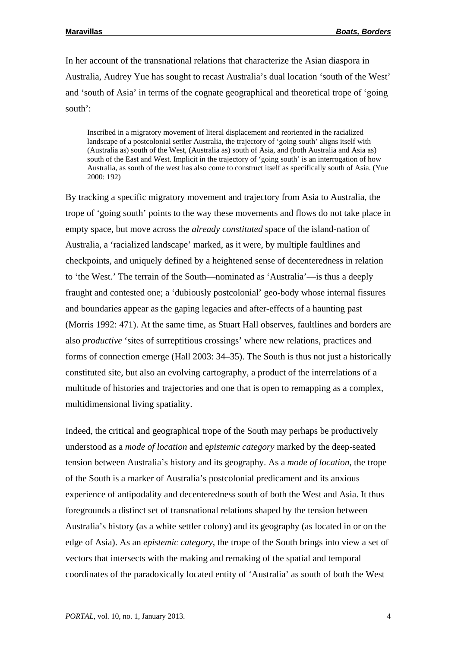In her account of the transnational relations that characterize the Asian diaspora in Australia, Audrey Yue has sought to recast Australia's dual location 'south of the West' and 'south of Asia' in terms of the cognate geographical and theoretical trope of 'going south':

Inscribed in a migratory movement of literal displacement and reoriented in the racialized landscape of a postcolonial settler Australia, the trajectory of 'going south' aligns itself with (Australia as) south of the West, (Australia as) south of Asia, and (both Australia and Asia as) south of the East and West. Implicit in the trajectory of 'going south' is an interrogation of how Australia, as south of the west has also come to construct itself as specifically south of Asia. (Yue 2000: 192)

By tracking a specific migratory movement and trajectory from Asia to Australia, the trope of 'going south' points to the way these movements and flows do not take place in empty space, but move across the *already constituted* space of the island-nation of Australia, a 'racialized landscape' marked, as it were, by multiple faultlines and checkpoints, and uniquely defined by a heightened sense of decenteredness in relation to 'the West.' The terrain of the South—nominated as 'Australia'—is thus a deeply fraught and contested one; a 'dubiously postcolonial' geo-body whose internal fissures and boundaries appear as the gaping legacies and after-effects of a haunting past (Morris 1992: 471). At the same time, as Stuart Hall observes, faultlines and borders are also *productive* 'sites of surreptitious crossings' where new relations, practices and forms of connection emerge (Hall 2003: 34–35). The South is thus not just a historically constituted site, but also an evolving cartography, a product of the interrelations of a multitude of histories and trajectories and one that is open to remapping as a complex, multidimensional living spatiality.

Indeed, the critical and geographical trope of the South may perhaps be productively understood as a *mode of location* and e*pistemic category* marked by the deep-seated tension between Australia's history and its geography. As a *mode of location*, the trope of the South is a marker of Australia's postcolonial predicament and its anxious experience of antipodality and decenteredness south of both the West and Asia. It thus foregrounds a distinct set of transnational relations shaped by the tension between Australia's history (as a white settler colony) and its geography (as located in or on the edge of Asia). As an *epistemic category*, the trope of the South brings into view a set of vectors that intersects with the making and remaking of the spatial and temporal coordinates of the paradoxically located entity of 'Australia' as south of both the West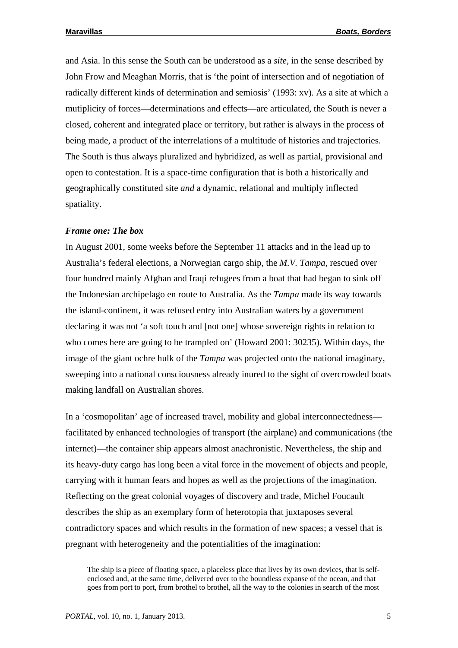and Asia. In this sense the South can be understood as a *site*, in the sense described by John Frow and Meaghan Morris, that is 'the point of intersection and of negotiation of radically different kinds of determination and semiosis' (1993: xv). As a site at which a mutiplicity of forces—determinations and effects—are articulated, the South is never a closed, coherent and integrated place or territory, but rather is always in the process of being made, a product of the interrelations of a multitude of histories and trajectories. The South is thus always pluralized and hybridized, as well as partial, provisional and open to contestation. It is a space-time configuration that is both a historically and geographically constituted site *and* a dynamic, relational and multiply inflected spatiality.

## *Frame one: The box*

In August 2001, some weeks before the September 11 attacks and in the lead up to Australia's federal elections, a Norwegian cargo ship, the *M.V. Tampa*, rescued over four hundred mainly Afghan and Iraqi refugees from a boat that had began to sink off the Indonesian archipelago en route to Australia. As the *Tampa* made its way towards the island-continent, it was refused entry into Australian waters by a government declaring it was not 'a soft touch and [not one] whose sovereign rights in relation to who comes here are going to be trampled on' (Howard 2001: 30235). Within days, the image of the giant ochre hulk of the *Tampa* was projected onto the national imaginary, sweeping into a national consciousness already inured to the sight of overcrowded boats making landfall on Australian shores.

In a 'cosmopolitan' age of increased travel, mobility and global interconnectedness facilitated by enhanced technologies of transport (the airplane) and communications (the internet)—the container ship appears almost anachronistic. Nevertheless, the ship and its heavy-duty cargo has long been a vital force in the movement of objects and people, carrying with it human fears and hopes as well as the projections of the imagination. Reflecting on the great colonial voyages of discovery and trade, Michel Foucault describes the ship as an exemplary form of heterotopia that juxtaposes several contradictory spaces and which results in the formation of new spaces; a vessel that is pregnant with heterogeneity and the potentialities of the imagination:

The ship is a piece of floating space, a placeless place that lives by its own devices, that is selfenclosed and, at the same time, delivered over to the boundless expanse of the ocean, and that goes from port to port, from brothel to brothel, all the way to the colonies in search of the most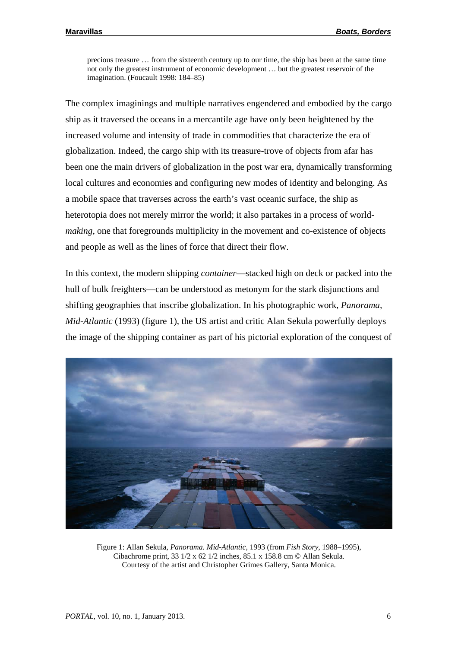precious treasure … from the sixteenth century up to our time, the ship has been at the same time not only the greatest instrument of economic development … but the greatest reservoir of the imagination. (Foucault 1998: 184–85)

The complex imaginings and multiple narratives engendered and embodied by the cargo ship as it traversed the oceans in a mercantile age have only been heightened by the increased volume and intensity of trade in commodities that characterize the era of globalization. Indeed, the cargo ship with its treasure-trove of objects from afar has been one the main drivers of globalization in the post war era, dynamically transforming local cultures and economies and configuring new modes of identity and belonging. As a mobile space that traverses across the earth's vast oceanic surface, the ship as heterotopia does not merely mirror the world; it also partakes in a process of world*making*, one that foregrounds multiplicity in the movement and co-existence of objects and people as well as the lines of force that direct their flow.

In this context, the modern shipping *container*—stacked high on deck or packed into the hull of bulk freighters—can be understood as metonym for the stark disjunctions and shifting geographies that inscribe globalization. In his photographic work, *Panorama, Mid-Atlantic* (1993) (figure 1), the US artist and critic Alan Sekula powerfully deploys the image of the shipping container as part of his pictorial exploration of the conquest of



Figure 1: Allan Sekula, *Panorama. Mid-Atlantic*, 1993 (from *Fish Story*, 1988–1995), Cibachrome print, 33 1/2 x 62 1/2 inches, 85.1 x 158.8 cm © Allan Sekula. Courtesy of the artist and Christopher Grimes Gallery, Santa Monica.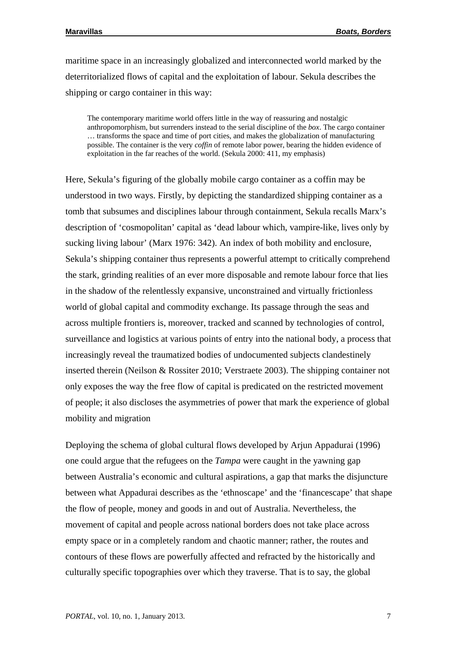maritime space in an increasingly globalized and interconnected world marked by the deterritorialized flows of capital and the exploitation of labour. Sekula describes the shipping or cargo container in this way:

The contemporary maritime world offers little in the way of reassuring and nostalgic anthropomorphism, but surrenders instead to the serial discipline of the *box*. The cargo container … transforms the space and time of port cities, and makes the globalization of manufacturing possible. The container is the very *coffin* of remote labor power, bearing the hidden evidence of exploitation in the far reaches of the world. (Sekula 2000: 411, my emphasis)

Here, Sekula's figuring of the globally mobile cargo container as a coffin may be understood in two ways. Firstly, by depicting the standardized shipping container as a tomb that subsumes and disciplines labour through containment, Sekula recalls Marx's description of 'cosmopolitan' capital as 'dead labour which, vampire-like, lives only by sucking living labour' (Marx 1976: 342). An index of both mobility and enclosure, Sekula's shipping container thus represents a powerful attempt to critically comprehend the stark, grinding realities of an ever more disposable and remote labour force that lies in the shadow of the relentlessly expansive, unconstrained and virtually frictionless world of global capital and commodity exchange. Its passage through the seas and across multiple frontiers is, moreover, tracked and scanned by technologies of control, surveillance and logistics at various points of entry into the national body, a process that increasingly reveal the traumatized bodies of undocumented subjects clandestinely inserted therein (Neilson & Rossiter 2010; Verstraete 2003). The shipping container not only exposes the way the free flow of capital is predicated on the restricted movement of people; it also discloses the asymmetries of power that mark the experience of global mobility and migration

Deploying the schema of global cultural flows developed by Arjun Appadurai (1996) one could argue that the refugees on the *Tampa* were caught in the yawning gap between Australia's economic and cultural aspirations, a gap that marks the disjuncture between what Appadurai describes as the 'ethnoscape' and the 'financescape' that shape the flow of people, money and goods in and out of Australia. Nevertheless, the movement of capital and people across national borders does not take place across empty space or in a completely random and chaotic manner; rather, the routes and contours of these flows are powerfully affected and refracted by the historically and culturally specific topographies over which they traverse. That is to say, the global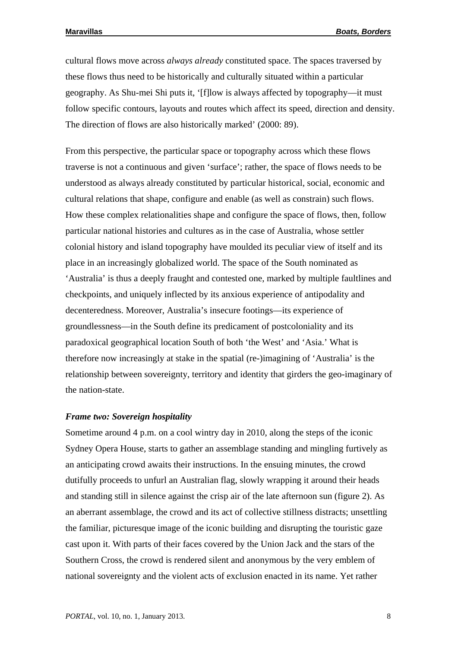cultural flows move across *always already* constituted space. The spaces traversed by these flows thus need to be historically and culturally situated within a particular geography. As Shu-mei Shi puts it, '[f]low is always affected by topography—it must follow specific contours, layouts and routes which affect its speed, direction and density. The direction of flows are also historically marked' (2000: 89).

From this perspective, the particular space or topography across which these flows traverse is not a continuous and given 'surface'; rather, the space of flows needs to be understood as always already constituted by particular historical, social, economic and cultural relations that shape, configure and enable (as well as constrain) such flows. How these complex relationalities shape and configure the space of flows, then, follow particular national histories and cultures as in the case of Australia, whose settler colonial history and island topography have moulded its peculiar view of itself and its place in an increasingly globalized world. The space of the South nominated as 'Australia' is thus a deeply fraught and contested one, marked by multiple faultlines and checkpoints, and uniquely inflected by its anxious experience of antipodality and decenteredness. Moreover, Australia's insecure footings—its experience of groundlessness—in the South define its predicament of postcoloniality and its paradoxical geographical location South of both 'the West' and 'Asia.' What is therefore now increasingly at stake in the spatial (re-)imagining of 'Australia' is the relationship between sovereignty, territory and identity that girders the geo-imaginary of the nation-state.

#### *Frame two: Sovereign hospitality*

Sometime around 4 p.m. on a cool wintry day in 2010, along the steps of the iconic Sydney Opera House, starts to gather an assemblage standing and mingling furtively as an anticipating crowd awaits their instructions. In the ensuing minutes, the crowd dutifully proceeds to unfurl an Australian flag, slowly wrapping it around their heads and standing still in silence against the crisp air of the late afternoon sun (figure 2). As an aberrant assemblage, the crowd and its act of collective stillness distracts; unsettling the familiar, picturesque image of the iconic building and disrupting the touristic gaze cast upon it. With parts of their faces covered by the Union Jack and the stars of the Southern Cross, the crowd is rendered silent and anonymous by the very emblem of national sovereignty and the violent acts of exclusion enacted in its name. Yet rather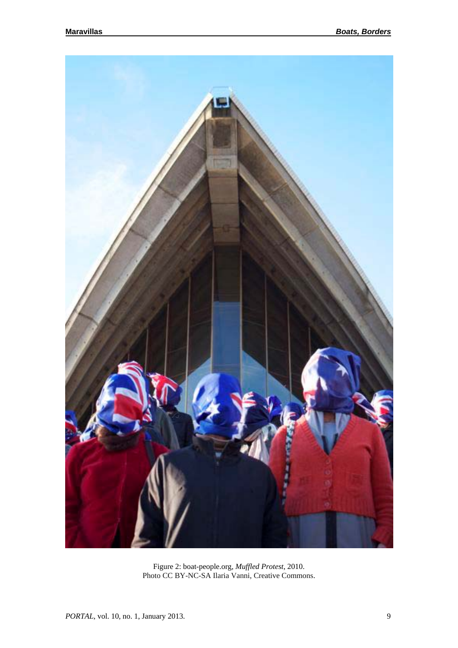

Figure 2: boat-people.org, *Muffled Protest*, 2010. Photo CC BY-NC-SA Ilaria Vanni, Creative Commons.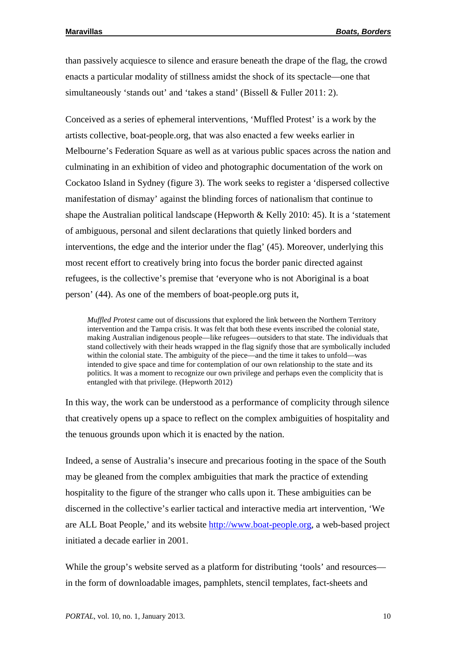than passively acquiesce to silence and erasure beneath the drape of the flag, the crowd enacts a particular modality of stillness amidst the shock of its spectacle—one that simultaneously 'stands out' and 'takes a stand' (Bissell & Fuller 2011: 2).

Conceived as a series of ephemeral interventions, 'Muffled Protest' is a work by the artists collective, boat-people.org, that was also enacted a few weeks earlier in Melbourne's Federation Square as well as at various public spaces across the nation and culminating in an exhibition of video and photographic documentation of the work on Cockatoo Island in Sydney (figure 3). The work seeks to register a 'dispersed collective manifestation of dismay' against the blinding forces of nationalism that continue to shape the Australian political landscape (Hepworth & Kelly 2010: 45). It is a 'statement of ambiguous, personal and silent declarations that quietly linked borders and interventions, the edge and the interior under the flag' (45). Moreover, underlying this most recent effort to creatively bring into focus the border panic directed against refugees, is the collective's premise that 'everyone who is not Aboriginal is a boat person' (44). As one of the members of boat-people.org puts it,

*Muffled Protest* came out of discussions that explored the link between the Northern Territory intervention and the Tampa crisis. It was felt that both these events inscribed the colonial state, making Australian indigenous people—like refugees—outsiders to that state. The individuals that stand collectively with their heads wrapped in the flag signify those that are symbolically included within the colonial state. The ambiguity of the piece—and the time it takes to unfold—was intended to give space and time for contemplation of our own relationship to the state and its politics. It was a moment to recognize our own privilege and perhaps even the complicity that is entangled with that privilege. (Hepworth 2012)

In this way, the work can be understood as a performance of complicity through silence that creatively opens up a space to reflect on the complex ambiguities of hospitality and the tenuous grounds upon which it is enacted by the nation.

Indeed, a sense of Australia's insecure and precarious footing in the space of the South may be gleaned from the complex ambiguities that mark the practice of extending hospitality to the figure of the stranger who calls upon it. These ambiguities can be discerned in the collective's earlier tactical and interactive media art intervention, 'We are ALL Boat People,' and its website http://www.boat-people.org, a web-based project initiated a decade earlier in 2001.

While the group's website served as a platform for distributing 'tools' and resources in the form of downloadable images, pamphlets, stencil templates, fact-sheets and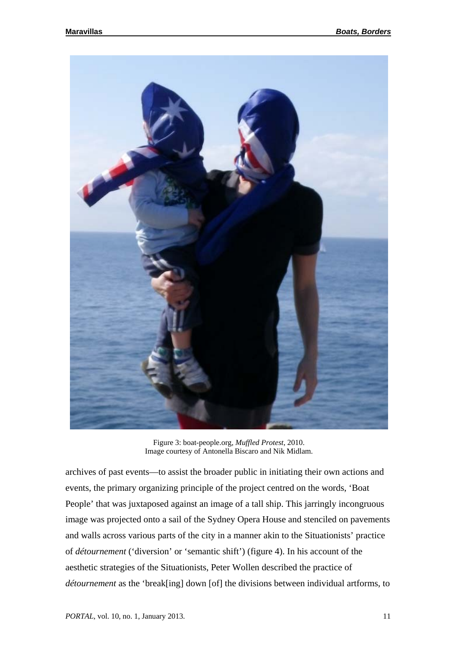

Figure 3: boat-people.org, *Muffled Protest*, 2010. Image courtesy of Antonella Biscaro and Nik Midlam.

archives of past events—to assist the broader public in initiating their own actions and events, the primary organizing principle of the project centred on the words, 'Boat People' that was juxtaposed against an image of a tall ship. This jarringly incongruous image was projected onto a sail of the Sydney Opera House and stenciled on pavements and walls across various parts of the city in a manner akin to the Situationists' practice of *détournement* ('diversion' or 'semantic shift') (figure 4). In his account of the aesthetic strategies of the Situationists, Peter Wollen described the practice of *détournement* as the 'break[ing] down [of] the divisions between individual artforms, to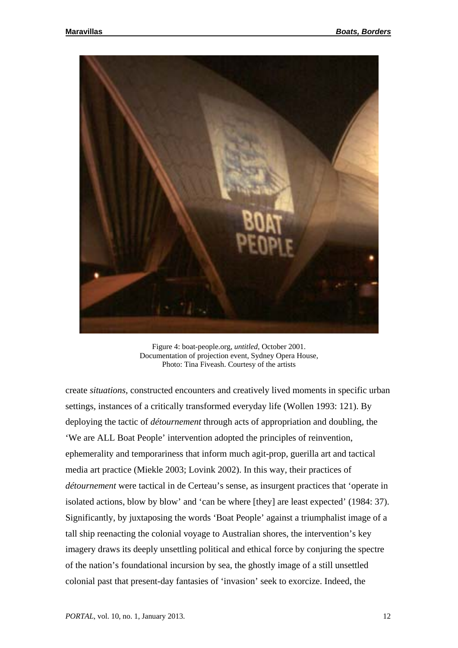

Figure 4: boat-people.org, *untitled*, October 2001. Documentation of projection event, Sydney Opera House, Photo: Tina Fiveash. Courtesy of the artists

create *situations*, constructed encounters and creatively lived moments in specific urban settings, instances of a critically transformed everyday life (Wollen 1993: 121). By deploying the tactic of *détournement* through acts of appropriation and doubling, the 'We are ALL Boat People' intervention adopted the principles of reinvention, ephemerality and temporariness that inform much agit-prop, guerilla art and tactical media art practice (Miekle 2003; Lovink 2002). In this way, their practices of *détournement* were tactical in de Certeau's sense, as insurgent practices that 'operate in isolated actions, blow by blow' and 'can be where [they] are least expected' (1984: 37). Significantly, by juxtaposing the words 'Boat People' against a triumphalist image of a tall ship reenacting the colonial voyage to Australian shores, the intervention's key imagery draws its deeply unsettling political and ethical force by conjuring the spectre of the nation's foundational incursion by sea, the ghostly image of a still unsettled colonial past that present-day fantasies of 'invasion' seek to exorcize. Indeed, the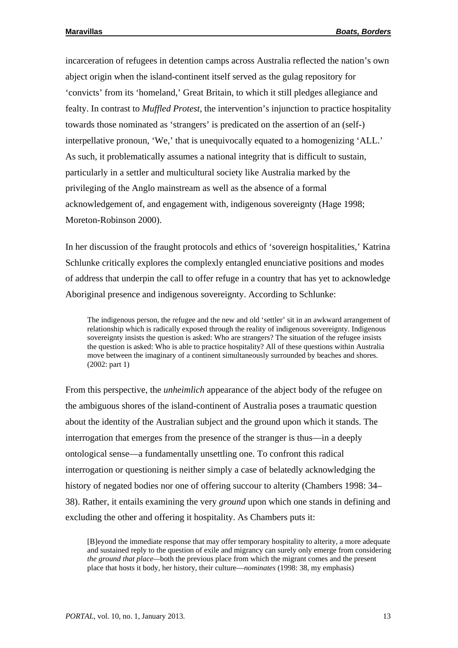incarceration of refugees in detention camps across Australia reflected the nation's own abject origin when the island-continent itself served as the gulag repository for 'convicts' from its 'homeland,' Great Britain, to which it still pledges allegiance and fealty. In contrast to *Muffled Protest*, the intervention's injunction to practice hospitality towards those nominated as 'strangers' is predicated on the assertion of an (self-) interpellative pronoun, 'We,' that is unequivocally equated to a homogenizing 'ALL.' As such, it problematically assumes a national integrity that is difficult to sustain, particularly in a settler and multicultural society like Australia marked by the privileging of the Anglo mainstream as well as the absence of a formal acknowledgement of, and engagement with, indigenous sovereignty (Hage 1998; Moreton-Robinson 2000).

In her discussion of the fraught protocols and ethics of 'sovereign hospitalities,' Katrina Schlunke critically explores the complexly entangled enunciative positions and modes of address that underpin the call to offer refuge in a country that has yet to acknowledge Aboriginal presence and indigenous sovereignty. According to Schlunke:

The indigenous person, the refugee and the new and old 'settler' sit in an awkward arrangement of relationship which is radically exposed through the reality of indigenous sovereignty. Indigenous sovereignty insists the question is asked: Who are strangers? The situation of the refugee insists the question is asked: Who is able to practice hospitality? All of these questions within Australia move between the imaginary of a continent simultaneously surrounded by beaches and shores. (2002: part 1)

From this perspective, the *unheimlich* appearance of the abject body of the refugee on the ambiguous shores of the island-continent of Australia poses a traumatic question about the identity of the Australian subject and the ground upon which it stands. The interrogation that emerges from the presence of the stranger is thus—in a deeply ontological sense—a fundamentally unsettling one. To confront this radical interrogation or questioning is neither simply a case of belatedly acknowledging the history of negated bodies nor one of offering succour to alterity (Chambers 1998: 34– 38). Rather, it entails examining the very *ground* upon which one stands in defining and excluding the other and offering it hospitality. As Chambers puts it:

[B]eyond the immediate response that may offer temporary hospitality to alterity, a more adequate and sustained reply to the question of exile and migrancy can surely only emerge from considering *the ground that place—*both the previous place from which the migrant comes and the present place that hosts it body, her history, their culture—*nominates* (1998: 38, my emphasis)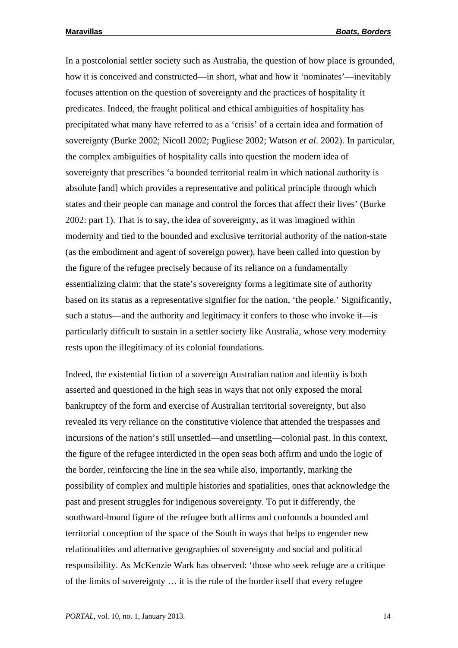In a postcolonial settler society such as Australia, the question of how place is grounded, how it is conceived and constructed—in short, what and how it 'nominates'—inevitably focuses attention on the question of sovereignty and the practices of hospitality it predicates. Indeed, the fraught political and ethical ambiguities of hospitality has precipitated what many have referred to as a 'crisis' of a certain idea and formation of sovereignty (Burke 2002; Nicoll 2002; Pugliese 2002; Watson *et al*. 2002). In particular, the complex ambiguities of hospitality calls into question the modern idea of sovereignty that prescribes 'a bounded territorial realm in which national authority is absolute [and] which provides a representative and political principle through which states and their people can manage and control the forces that affect their lives' (Burke 2002: part 1). That is to say, the idea of sovereignty, as it was imagined within modernity and tied to the bounded and exclusive territorial authority of the nation-state (as the embodiment and agent of sovereign power), have been called into question by the figure of the refugee precisely because of its reliance on a fundamentally essentializing claim: that the state's sovereignty forms a legitimate site of authority based on its status as a representative signifier for the nation, 'the people.' Significantly, such a status—and the authority and legitimacy it confers to those who invoke it—is particularly difficult to sustain in a settler society like Australia, whose very modernity rests upon the illegitimacy of its colonial foundations.

Indeed, the existential fiction of a sovereign Australian nation and identity is both asserted and questioned in the high seas in ways that not only exposed the moral bankruptcy of the form and exercise of Australian territorial sovereignty, but also revealed its very reliance on the constitutive violence that attended the trespasses and incursions of the nation's still unsettled—and unsettling—colonial past. In this context, the figure of the refugee interdicted in the open seas both affirm and undo the logic of the border, reinforcing the line in the sea while also, importantly, marking the possibility of complex and multiple histories and spatialities, ones that acknowledge the past and present struggles for indigenous sovereignty. To put it differently, the southward-bound figure of the refugee both affirms and confounds a bounded and territorial conception of the space of the South in ways that helps to engender new relationalities and alternative geographies of sovereignty and social and political responsibility. As McKenzie Wark has observed: 'those who seek refuge are a critique of the limits of sovereignty … it is the rule of the border itself that every refugee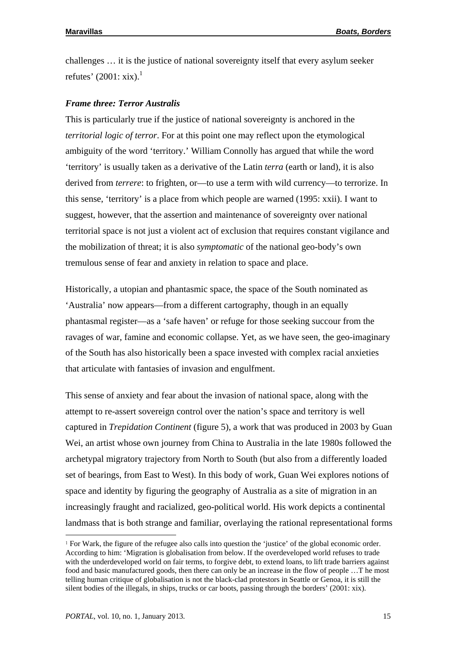challenges … it is the justice of national sovereignty itself that every asylum seeker refutes' (2001: xix).<sup>1</sup>

#### *Frame three: Terror Australis*

This is particularly true if the justice of national sovereignty is anchored in the *territorial logic of terror*. For at this point one may reflect upon the etymological ambiguity of the word 'territory.' William Connolly has argued that while the word 'territory' is usually taken as a derivative of the Latin *terra* (earth or land), it is also derived from *terrere*: to frighten, or—to use a term with wild currency—to terrorize. In this sense, 'territory' is a place from which people are warned (1995: xxii). I want to suggest, however, that the assertion and maintenance of sovereignty over national territorial space is not just a violent act of exclusion that requires constant vigilance and the mobilization of threat; it is also *symptomatic* of the national geo-body's own tremulous sense of fear and anxiety in relation to space and place.

Historically, a utopian and phantasmic space, the space of the South nominated as 'Australia' now appears—from a different cartography, though in an equally phantasmal register—as a 'safe haven' or refuge for those seeking succour from the ravages of war, famine and economic collapse. Yet, as we have seen, the geo-imaginary of the South has also historically been a space invested with complex racial anxieties that articulate with fantasies of invasion and engulfment.

This sense of anxiety and fear about the invasion of national space, along with the attempt to re-assert sovereign control over the nation's space and territory is well captured in *Trepidation Continent* (figure 5), a work that was produced in 2003 by Guan Wei, an artist whose own journey from China to Australia in the late 1980s followed the archetypal migratory trajectory from North to South (but also from a differently loaded set of bearings, from East to West). In this body of work, Guan Wei explores notions of space and identity by figuring the geography of Australia as a site of migration in an increasingly fraught and racialized, geo-political world. His work depicts a continental landmass that is both strange and familiar, overlaying the rational representational forms

1

<sup>1</sup> For Wark, the figure of the refugee also calls into question the 'justice' of the global economic order. According to him: 'Migration is globalisation from below. If the overdeveloped world refuses to trade with the underdeveloped world on fair terms, to forgive debt, to extend loans, to lift trade barriers against food and basic manufactured goods, then there can only be an increase in the flow of people …T he most telling human critique of globalisation is not the black-clad protestors in Seattle or Genoa, it is still the silent bodies of the illegals, in ships, trucks or car boots, passing through the borders' (2001: xix).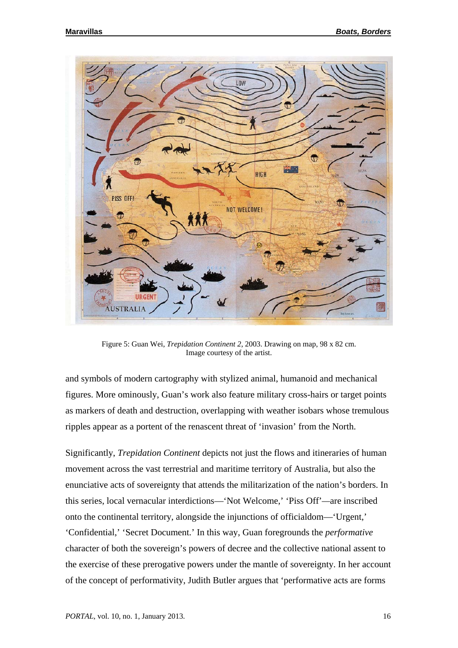

Figure 5: Guan Wei, *Trepidation Continent 2*, 2003. Drawing on map, 98 x 82 cm. Image courtesy of the artist.

and symbols of modern cartography with stylized animal, humanoid and mechanical figures. More ominously, Guan's work also feature military cross-hairs or target points as markers of death and destruction, overlapping with weather isobars whose tremulous ripples appear as a portent of the renascent threat of 'invasion' from the North.

Significantly, *Trepidation Continent* depicts not just the flows and itineraries of human movement across the vast terrestrial and maritime territory of Australia, but also the enunciative acts of sovereignty that attends the militarization of the nation's borders. In this series, local vernacular interdictions—'Not Welcome,' 'Piss Off'*—*are inscribed onto the continental territory, alongside the injunctions of officialdom—'Urgent,' 'Confidential,' 'Secret Document.' In this way, Guan foregrounds the *performative* character of both the sovereign's powers of decree and the collective national assent to the exercise of these prerogative powers under the mantle of sovereignty. In her account of the concept of performativity, Judith Butler argues that 'performative acts are forms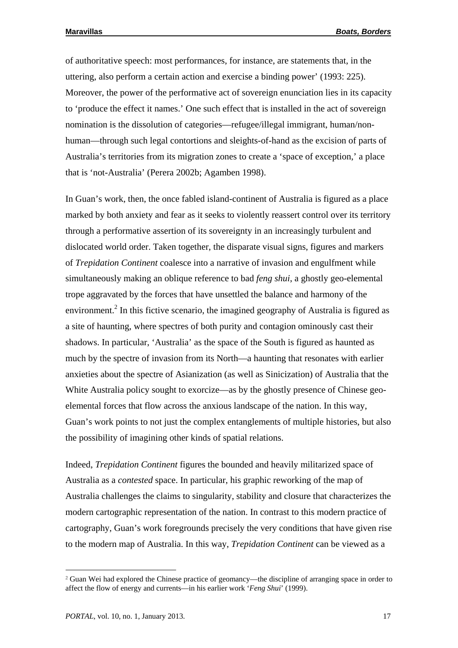of authoritative speech: most performances, for instance, are statements that, in the uttering, also perform a certain action and exercise a binding power' (1993: 225). Moreover, the power of the performative act of sovereign enunciation lies in its capacity to 'produce the effect it names.' One such effect that is installed in the act of sovereign nomination is the dissolution of categories—refugee/illegal immigrant, human/nonhuman—through such legal contortions and sleights-of-hand as the excision of parts of Australia's territories from its migration zones to create a 'space of exception,' a place that is 'not-Australia' (Perera 2002b; Agamben 1998).

In Guan's work, then, the once fabled island-continent of Australia is figured as a place marked by both anxiety and fear as it seeks to violently reassert control over its territory through a performative assertion of its sovereignty in an increasingly turbulent and dislocated world order. Taken together, the disparate visual signs, figures and markers of *Trepidation Continent* coalesce into a narrative of invasion and engulfment while simultaneously making an oblique reference to bad *feng shui*, a ghostly geo-elemental trope aggravated by the forces that have unsettled the balance and harmony of the environment.<sup>2</sup> In this fictive scenario, the imagined geography of Australia is figured as a site of haunting, where spectres of both purity and contagion ominously cast their shadows. In particular, 'Australia' as the space of the South is figured as haunted as much by the spectre of invasion from its North—a haunting that resonates with earlier anxieties about the spectre of Asianization (as well as Sinicization) of Australia that the White Australia policy sought to exorcize—as by the ghostly presence of Chinese geoelemental forces that flow across the anxious landscape of the nation. In this way, Guan's work points to not just the complex entanglements of multiple histories, but also the possibility of imagining other kinds of spatial relations.

Indeed, *Trepidation Continent* figures the bounded and heavily militarized space of Australia as a *contested* space. In particular, his graphic reworking of the map of Australia challenges the claims to singularity, stability and closure that characterizes the modern cartographic representation of the nation. In contrast to this modern practice of cartography, Guan's work foregrounds precisely the very conditions that have given rise to the modern map of Australia. In this way, *Trepidation Continent* can be viewed as a

<u>.</u>

<sup>2</sup> Guan Wei had explored the Chinese practice of geomancy—the discipline of arranging space in order to affect the flow of energy and currents—in his earlier work '*Feng Shui*' (1999).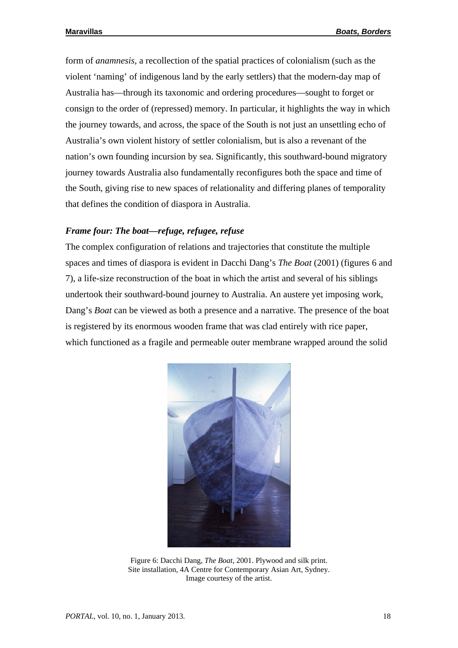form of *anamnesis*, a recollection of the spatial practices of colonialism (such as the violent 'naming' of indigenous land by the early settlers) that the modern-day map of Australia has—through its taxonomic and ordering procedures—sought to forget or consign to the order of (repressed) memory. In particular, it highlights the way in which the journey towards, and across, the space of the South is not just an unsettling echo of Australia's own violent history of settler colonialism, but is also a revenant of the nation's own founding incursion by sea. Significantly, this southward-bound migratory journey towards Australia also fundamentally reconfigures both the space and time of the South, giving rise to new spaces of relationality and differing planes of temporality that defines the condition of diaspora in Australia.

## *Frame four: The boat—refuge, refugee, refuse*

The complex configuration of relations and trajectories that constitute the multiple spaces and times of diaspora is evident in Dacchi Dang's *The Boat* (2001) (figures 6 and 7), a life-size reconstruction of the boat in which the artist and several of his siblings undertook their southward-bound journey to Australia. An austere yet imposing work, Dang's *Boat* can be viewed as both a presence and a narrative. The presence of the boat is registered by its enormous wooden frame that was clad entirely with rice paper, which functioned as a fragile and permeable outer membrane wrapped around the solid



Figure 6: Dacchi Dang, *The Boat*, 2001. Plywood and silk print. Site installation, 4A Centre for Contemporary Asian Art, Sydney. Image courtesy of the artist.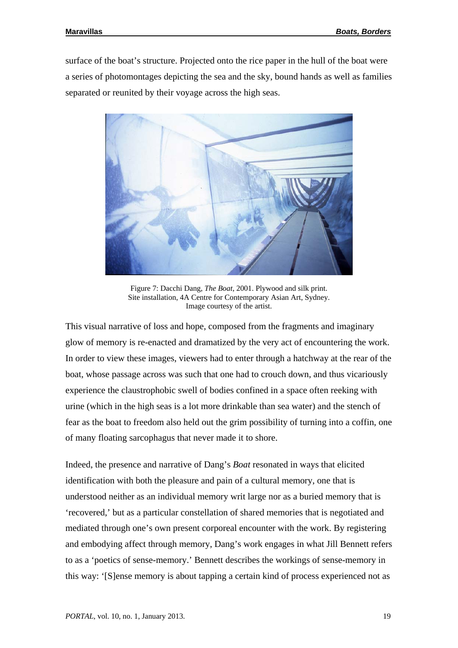surface of the boat's structure. Projected onto the rice paper in the hull of the boat were a series of photomontages depicting the sea and the sky, bound hands as well as families separated or reunited by their voyage across the high seas.



Figure 7: Dacchi Dang, *The Boat*, 2001. Plywood and silk print. Site installation, 4A Centre for Contemporary Asian Art, Sydney. Image courtesy of the artist.

This visual narrative of loss and hope, composed from the fragments and imaginary glow of memory is re-enacted and dramatized by the very act of encountering the work. In order to view these images, viewers had to enter through a hatchway at the rear of the boat, whose passage across was such that one had to crouch down, and thus vicariously experience the claustrophobic swell of bodies confined in a space often reeking with urine (which in the high seas is a lot more drinkable than sea water) and the stench of fear as the boat to freedom also held out the grim possibility of turning into a coffin, one of many floating sarcophagus that never made it to shore.

Indeed, the presence and narrative of Dang's *Boat* resonated in ways that elicited identification with both the pleasure and pain of a cultural memory, one that is understood neither as an individual memory writ large nor as a buried memory that is 'recovered,' but as a particular constellation of shared memories that is negotiated and mediated through one's own present corporeal encounter with the work. By registering and embodying affect through memory, Dang's work engages in what Jill Bennett refers to as a 'poetics of sense-memory.' Bennett describes the workings of sense-memory in this way: '[S]ense memory is about tapping a certain kind of process experienced not as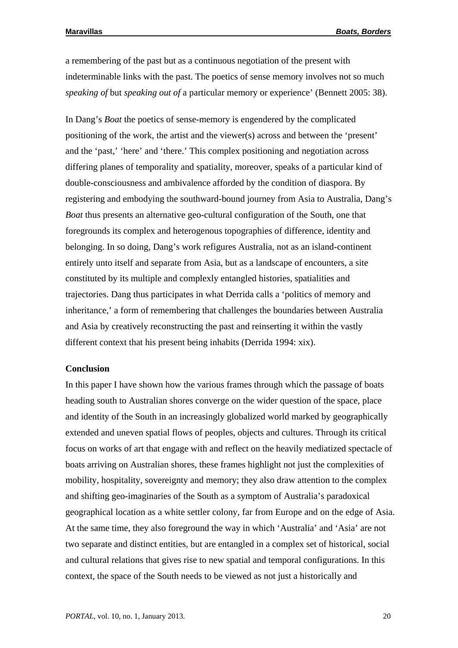a remembering of the past but as a continuous negotiation of the present with indeterminable links with the past. The poetics of sense memory involves not so much *speaking of* but *speaking out of* a particular memory or experience' (Bennett 2005: 38).

In Dang's *Boat* the poetics of sense-memory is engendered by the complicated positioning of the work, the artist and the viewer(s) across and between the 'present' and the 'past,' 'here' and 'there.' This complex positioning and negotiation across differing planes of temporality and spatiality, moreover, speaks of a particular kind of double-consciousness and ambivalence afforded by the condition of diaspora. By registering and embodying the southward-bound journey from Asia to Australia, Dang's *Boat* thus presents an alternative geo-cultural configuration of the South, one that foregrounds its complex and heterogenous topographies of difference, identity and belonging. In so doing, Dang's work refigures Australia, not as an island-continent entirely unto itself and separate from Asia, but as a landscape of encounters, a site constituted by its multiple and complexly entangled histories, spatialities and trajectories. Dang thus participates in what Derrida calls a 'politics of memory and inheritance,' a form of remembering that challenges the boundaries between Australia and Asia by creatively reconstructing the past and reinserting it within the vastly different context that his present being inhabits (Derrida 1994: xix).

### **Conclusion**

In this paper I have shown how the various frames through which the passage of boats heading south to Australian shores converge on the wider question of the space, place and identity of the South in an increasingly globalized world marked by geographically extended and uneven spatial flows of peoples, objects and cultures. Through its critical focus on works of art that engage with and reflect on the heavily mediatized spectacle of boats arriving on Australian shores, these frames highlight not just the complexities of mobility, hospitality, sovereignty and memory; they also draw attention to the complex and shifting geo-imaginaries of the South as a symptom of Australia's paradoxical geographical location as a white settler colony, far from Europe and on the edge of Asia. At the same time, they also foreground the way in which 'Australia' and 'Asia' are not two separate and distinct entities, but are entangled in a complex set of historical, social and cultural relations that gives rise to new spatial and temporal configurations. In this context, the space of the South needs to be viewed as not just a historically and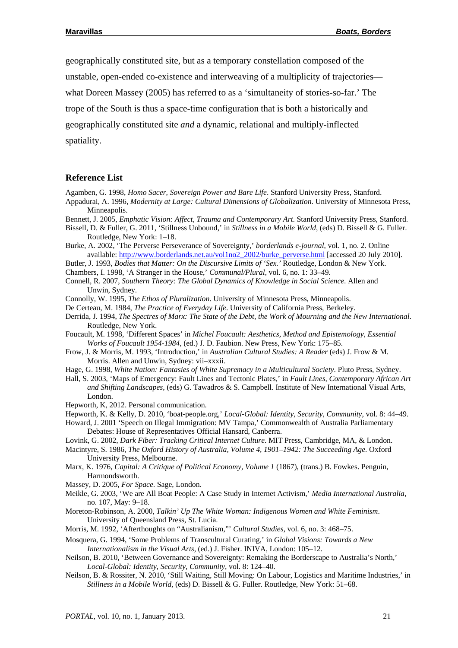geographically constituted site, but as a temporary constellation composed of the unstable, open-ended co-existence and interweaving of a multiplicity of trajectories—

what Doreen Massey (2005) has referred to as a 'simultaneity of stories-so-far.' The

trope of the South is thus a space-time configuration that is both a historically and

geographically constituted site *and* a dynamic, relational and multiply-inflected

spatiality.

#### **Reference List**

- Agamben, G. 1998, *Homo Sacer, Sovereign Power and Bare Life*. Stanford University Press, Stanford.
- Appadurai, A. 1996, *Modernity at Large: Cultural Dimensions of Globalization*. University of Minnesota Press, Minneapolis.
- Bennett, J. 2005, *Emphatic Vision: Affect, Trauma and Contemporary Art*. Stanford University Press, Stanford.
- Bissell, D. & Fuller, G. 2011, 'Stillness Unbound,' in *Stillness in a Mobile World*, (eds) D. Bissell & G. Fuller. Routledge, New York: 1–18.
- Burke, A. 2002, 'The Perverse Perseverance of Sovereignty,' *borderlands e-journal*, vol. 1, no. 2. Online available: http://www.borderlands.net.au/vol1no2\_2002/burke\_perverse.html [accessed 20 July 2010].

Butler, J. 1993, *Bodies that Matter: On the Discursive Limits of 'Sex.'* Routledge, London & New York.

Chambers, I. 1998, 'A Stranger in the House,' *Communal/Plural*, vol. 6, no. 1: 33–49.

Connell, R. 2007, *Southern Theory: The Global Dynamics of Knowledge in Social Science*. Allen and Unwin, Sydney.

- Connolly, W. 1995, *The Ethos of Pluralization*. University of Minnesota Press, Minneapolis.
- De Certeau, M. 1984, *The Practice of Everyday Life*. University of California Press, Berkeley.
- Derrida, J. 1994, *The Spectres of Marx: The State of the Debt, the Work of Mourning and the New International*. Routledge, New York.
- Foucault, M. 1998, 'Different Spaces' in *Michel Foucault: Aesthetics, Method and Epistemology, Essential Works of Foucault 1954-1984*, (ed.) J. D. Faubion. New Press, New York: 175–85.
- Frow, J. & Morris, M. 1993, 'Introduction,' in *Australian Cultural Studies: A Reader* (eds) J. Frow & M. Morris. Allen and Unwin, Sydney: vii–xxxii.
- Hage, G. 1998, *White Nation: Fantasies of White Supremacy in a Multicultural Society*. Pluto Press, Sydney.
- Hall, S. 2003, 'Maps of Emergency: Fault Lines and Tectonic Plates,' in *Fault Lines, Contemporary African Art and Shifting Landscapes*, (eds) G. Tawadros & S. Campbell. Institute of New International Visual Arts, London.
- Hepworth, K, 2012. Personal communication.
- Hepworth, K. & Kelly, D. 2010, 'boat-people.org,' *Local-Global: Identity, Security, Community*, vol. 8: 44–49.

Howard, J. 2001 'Speech on Illegal Immigration: MV Tampa,' Commonwealth of Australia Parliamentary Debates: House of Representatives Official Hansard, Canberra.

Lovink, G. 2002, *Dark Fiber: Tracking Critical Internet Culture*. MIT Press, Cambridge, MA, & London.

- Macintyre, S. 1986, *The Oxford History of Australia, Volume 4, 1901*–*1942: The Succeeding Age.* Oxford University Press, Melbourne.
- Marx, K. 1976, *Capital: A Critique of Political Economy, Volume 1* (1867), (trans.) B. Fowkes. Penguin, Harmondsworth.
- Massey, D. 2005, *For Space*. Sage, London.
- Meikle, G. 2003, 'We are All Boat People: A Case Study in Internet Activism,' *Media International Australia*, no. 107, May: 9–18.

Moreton-Robinson, A. 2000, *Talkin' Up The White Woman: Indigenous Women and White Feminism*. University of Queensland Press, St. Lucia.

Morris, M. 1992, 'Afterthoughts on "Australianism,"' *Cultural Studies*, vol. 6, no. 3: 468–75.

- Mosquera, G. 1994, 'Some Problems of Transcultural Curating,' in *Global Visions: Towards a New Internationalism in the Visual Arts,* (ed.) J. Fisher. INIVA, London: 105–12.
- Neilson, B. 2010, 'Between Governance and Sovereignty: Remaking the Borderscape to Australia's North,' *Local-Global: Identity, Security, Community*, vol. 8: 124–40.
- Neilson, B. & Rossiter, N. 2010, 'Still Waiting, Still Moving: On Labour, Logistics and Maritime Industries,' in *Stillness in a Mobile World*, (eds) D. Bissell & G. Fuller. Routledge, New York: 51–68.